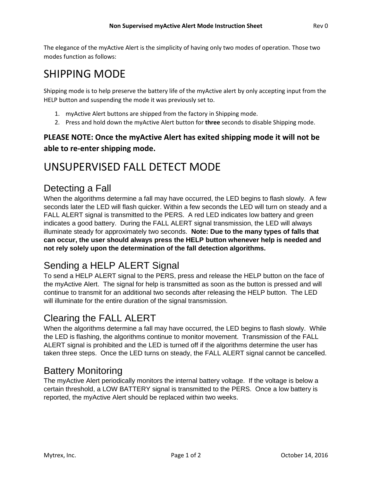The elegance of the myActive Alert is the simplicity of having only two modes of operation. Those two modes function as follows:

# SHIPPING MODE

Shipping mode is to help preserve the battery life of the myActive alert by only accepting input from the HELP button and suspending the mode it was previously set to.

- 1. myActive Alert buttons are shipped from the factory in Shipping mode.
- 2. Press and hold down the myActive Alert button for **three** seconds to disable Shipping mode.

#### **PLEASE NOTE: Once the myActive Alert has exited shipping mode it will not be able to re-enter shipping mode.**

# UNSUPERVISED FALL DETECT MODE

### Detecting a Fall

When the algorithms determine a fall may have occurred, the LED begins to flash slowly. A few seconds later the LED will flash quicker. Within a few seconds the LED will turn on steady and a FALL ALERT signal is transmitted to the PERS. A red LED indicates low battery and green indicates a good battery. During the FALL ALERT signal transmission, the LED will always illuminate steady for approximately two seconds. **Note: Due to the many types of falls that can occur, the user should always press the HELP button whenever help is needed and not rely solely upon the determination of the fall detection algorithms.** 

## Sending a HELP ALERT Signal

To send a HELP ALERT signal to the PERS, press and release the HELP button on the face of the myActive Alert. The signal for help is transmitted as soon as the button is pressed and will continue to transmit for an additional two seconds after releasing the HELP button. The LED will illuminate for the entire duration of the signal transmission.

## Clearing the FALL ALERT

When the algorithms determine a fall may have occurred, the LED begins to flash slowly. While the LED is flashing, the algorithms continue to monitor movement. Transmission of the FALL ALERT signal is prohibited and the LED is turned off if the algorithms determine the user has taken three steps. Once the LED turns on steady, the FALL ALERT signal cannot be cancelled.

### Battery Monitoring

The myActive Alert periodically monitors the internal battery voltage. If the voltage is below a certain threshold, a LOW BATTERY signal is transmitted to the PERS. Once a low battery is reported, the myActive Alert should be replaced within two weeks.